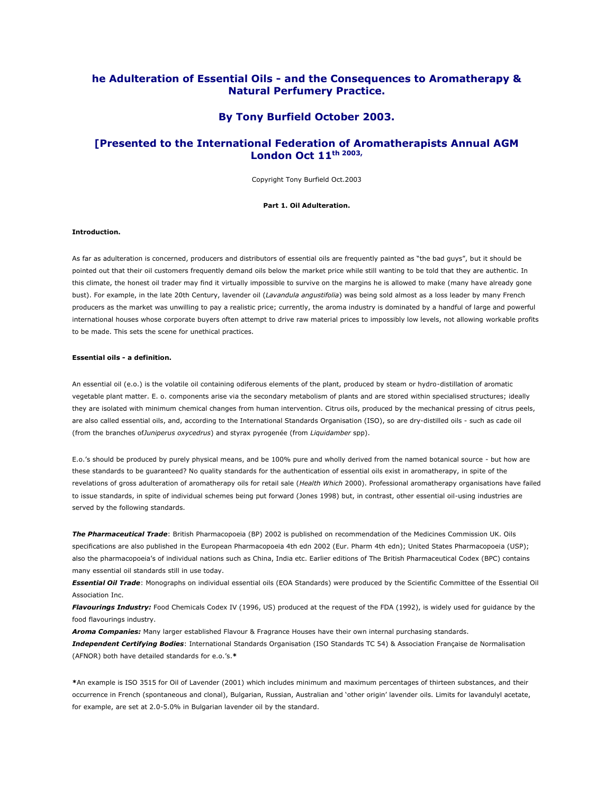## **he Adulteration of Essential Oils - and the Consequences to Aromatherapy & Natural Perfumery Practice.**

## **By Tony Burfield October 2003.**

## **[Presented to the International Federation of Aromatherapists Annual AGM London Oct 11th 2003,**

Copyright Tony Burfield Oct.2003

#### **Part 1. Oil Adulteration.**

## **Introduction.**

As far as adulteration is concerned, producers and distributors of essential oils are frequently painted as "the bad guys", but it should be pointed out that their oil customers frequently demand oils below the market price while still wanting to be told that they are authentic. In this climate, the honest oil trader may find it virtually impossible to survive on the margins he is allowed to make (many have already gone bust). For example, in the late 20th Century, lavender oil (*Lavandula angustifolia*) was being sold almost as a loss leader by many French producers as the market was unwilling to pay a realistic price; currently, the aroma industry is dominated by a handful of large and powerful international houses whose corporate buyers often attempt to drive raw material prices to impossibly low levels, not allowing workable profits to be made. This sets the scene for unethical practices.

### **Essential oils - a definition.**

An essential oil (e.o.) is the volatile oil containing odiferous elements of the plant, produced by steam or hydro-distillation of aromatic vegetable plant matter. E. o. components arise via the secondary metabolism of plants and are stored within specialised structures; ideally they are isolated with minimum chemical changes from human intervention. Citrus oils, produced by the mechanical pressing of citrus peels, are also called essential oils, and, according to the International Standards Organisation (ISO), so are dry-distilled oils - such as cade oil (from the branches of*Juniperus oxycedrus*) and styrax pyrogenée (from *Liquidamber* spp).

E.o.'s should be produced by purely physical means, and be 100% pure and wholly derived from the named botanical source - but how are these standards to be guaranteed? No quality standards for the authentication of essential oils exist in aromatherapy, in spite of the revelations of gross adulteration of aromatherapy oils for retail sale (*Health Which* 2000). Professional aromatherapy organisations have failed to issue standards, in spite of individual schemes being put forward (Jones 1998) but, in contrast, other essential oil-using industries are served by the following standards.

*The Pharmaceutical Trade*: British Pharmacopoeia (BP) 2002 is published on recommendation of the Medicines Commission UK. Oils specifications are also published in the European Pharmacopoeia 4th edn 2002 (Eur. Pharm 4th edn); United States Pharmacopoeia (USP); also the pharmacopoeia's of individual nations such as China, India etc. Earlier editions of The British Pharmaceutical Codex (BPC) contains many essential oil standards still in use today.

*Essential Oil Trade*: Monographs on individual essential oils (EOA Standards) were produced by the Scientific Committee of the Essential Oil Association Inc.

*Flavourings Industry:* Food Chemicals Codex IV (1996, US) produced at the request of the FDA (1992), is widely used for guidance by the food flavourings industry.

*Aroma Companies:* Many larger established Flavour & Fragrance Houses have their own internal purchasing standards. *Independent Certifying Bodies*: International Standards Organisation (ISO Standards TC 54) & Association Française de Normalisation (AFNOR) both have detailed standards for e.o.'s.**\***

**\***An example is ISO 3515 for Oil of Lavender (2001) which includes minimum and maximum percentages of thirteen substances, and their occurrence in French (spontaneous and clonal), Bulgarian, Russian, Australian and 'other origin' lavender oils. Limits for lavandulyl acetate, for example, are set at 2.0-5.0% in Bulgarian lavender oil by the standard.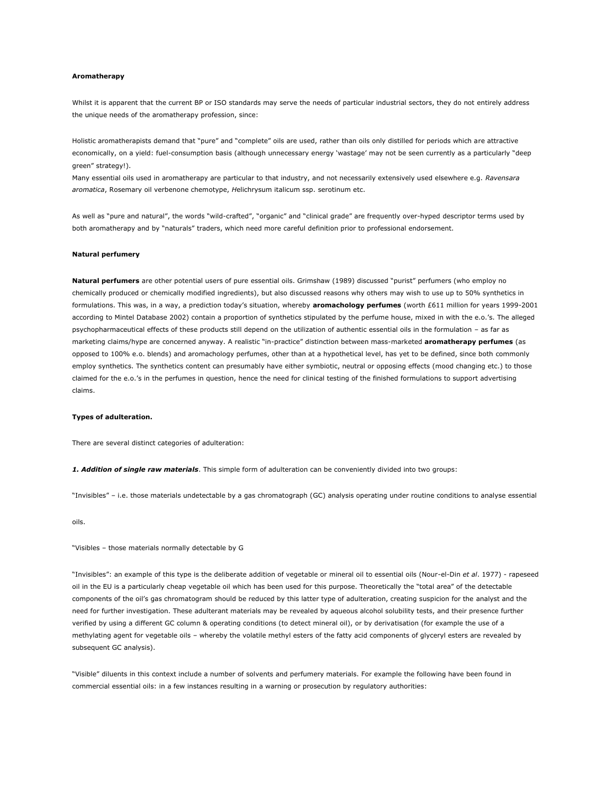## **Aromatherapy**

Whilst it is apparent that the current BP or ISO standards may serve the needs of particular industrial sectors, they do not entirely address the unique needs of the aromatherapy profession, since:

Holistic aromatherapists demand that "pure" and "complete" oils are used, rather than oils only distilled for periods which are attractive economically, on a yield: fuel-consumption basis (although unnecessary energy 'wastage' may not be seen currently as a particularly "deep green" strategy!).

Many essential oils used in aromatherapy are particular to that industry, and not necessarily extensively used elsewhere e.g. *Ravensara aromatica*, Rosemary oil verbenone chemotype, *H*elichrysum italicum ssp. serotinum etc.

As well as "pure and natural", the words "wild-crafted", "organic" and "clinical grade" are frequently over-hyped descriptor terms used by both aromatherapy and by "naturals" traders, which need more careful definition prior to professional endorsement.

#### **Natural perfumery**

**Natural perfumers** are other potential users of pure essential oils. Grimshaw (1989) discussed "purist" perfumers (who employ no chemically produced or chemically modified ingredients), but also discussed reasons why others may wish to use up to 50% synthetics in formulations. This was, in a way, a prediction today's situation, whereby **aromachology perfumes** (worth £611 million for years 1999-2001 according to Mintel Database 2002) contain a proportion of synthetics stipulated by the perfume house, mixed in with the e.o.'s. The alleged psychopharmaceutical effects of these products still depend on the utilization of authentic essential oils in the formulation – as far as marketing claims/hype are concerned anyway. A realistic "in-practice" distinction between mass-marketed **aromatherapy perfumes** (as opposed to 100% e.o. blends) and aromachology perfumes, other than at a hypothetical level, has yet to be defined, since both commonly employ synthetics. The synthetics content can presumably have either symbiotic, neutral or opposing effects (mood changing etc.) to those claimed for the e.o.'s in the perfumes in question, hence the need for clinical testing of the finished formulations to support advertising claims.

#### **Types of adulteration.**

There are several distinct categories of adulteration:

*1. Addition of single raw materials*. This simple form of adulteration can be conveniently divided into two groups:

"Invisibles" – i.e. those materials undetectable by a gas chromatograph (GC) analysis operating under routine conditions to analyse essential

oils.

"Visibles – those materials normally detectable by G

"Invisibles": an example of this type is the deliberate addition of vegetable or mineral oil to essential oils (Nour-el-Din *et al*. 1977) - rapeseed oil in the EU is a particularly cheap vegetable oil which has been used for this purpose. Theoretically the "total area" of the detectable components of the oil's gas chromatogram should be reduced by this latter type of adulteration, creating suspicion for the analyst and the need for further investigation. These adulterant materials may be revealed by aqueous alcohol solubility tests, and their presence further verified by using a different GC column & operating conditions (to detect mineral oil), or by derivatisation (for example the use of a methylating agent for vegetable oils – whereby the volatile methyl esters of the fatty acid components of glyceryl esters are revealed by subsequent GC analysis).

"Visible" diluents in this context include a number of solvents and perfumery materials. For example the following have been found in commercial essential oils: in a few instances resulting in a warning or prosecution by regulatory authorities: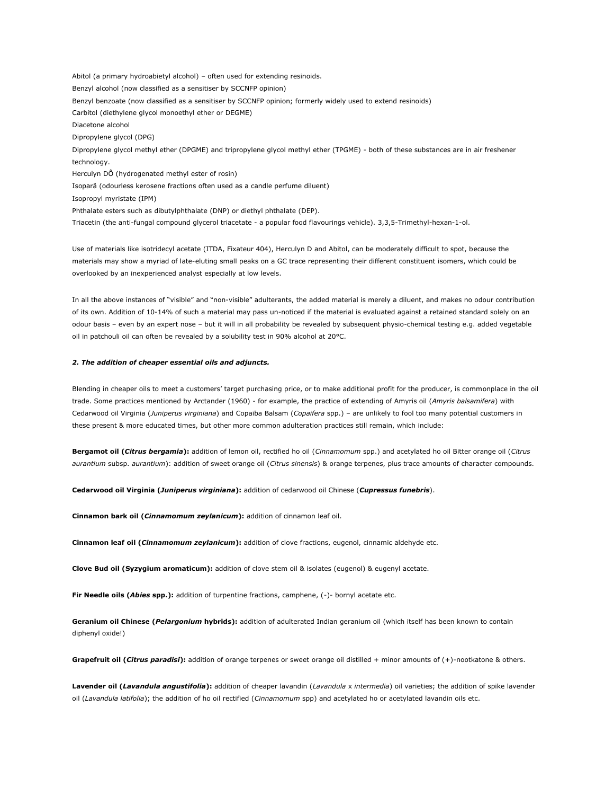Abitol (a primary hydroabietyl alcohol) – often used for extending resinoids. Benzyl alcohol (now classified as a sensitiser by SCCNFP opinion) Benzyl benzoate (now classified as a sensitiser by SCCNFP opinion; formerly widely used to extend resinoids) Carbitol (diethylene glycol monoethyl ether or DEGME) Diacetone alcohol Dipropylene glycol (DPG) Dipropylene glycol methyl ether (DPGME) and tripropylene glycol methyl ether (TPGME) - both of these substances are in air freshener technology. Herculyn DÔ (hydrogenated methyl ester of rosin) Isoparä (odourless kerosene fractions often used as a candle perfume diluent) Isopropyl myristate (IPM) Phthalate esters such as dibutylphthalate (DNP) or diethyl phthalate (DEP). Triacetin (the anti-fungal compound glycerol triacetate - a popular food flavourings vehicle). 3,3,5-Trimethyl-hexan-1-ol.

Use of materials like isotridecyl acetate (ITDA, Fixateur 404), Herculyn D and Abitol, can be moderately difficult to spot, because the materials may show a myriad of late-eluting small peaks on a GC trace representing their different constituent isomers, which could be overlooked by an inexperienced analyst especially at low levels.

In all the above instances of "visible" and "non-visible" adulterants, the added material is merely a diluent, and makes no odour contribution of its own. Addition of 10-14% of such a material may pass un-noticed if the material is evaluated against a retained standard solely on an odour basis – even by an expert nose – but it will in all probability be revealed by subsequent physio-chemical testing e.g. added vegetable oil in patchouli oil can often be revealed by a solubility test in 90% alcohol at 20°C.

## *2. The addition of cheaper essential oils and adjuncts.*

Blending in cheaper oils to meet a customers' target purchasing price, or to make additional profit for the producer, is commonplace in the oil trade. Some practices mentioned by Arctander (1960) - for example, the practice of extending of Amyris oil (*Amyris balsamifera*) with Cedarwood oil Virginia (*Juniperus virginiana*) and Copaiba Balsam (*Copaifera* spp.) – are unlikely to fool too many potential customers in these present & more educated times, but other more common adulteration practices still remain, which include:

**Bergamot oil (***Citrus bergamia***):** addition of lemon oil, rectified ho oil (*Cinnamomum* spp.) and acetylated ho oil Bitter orange oil (*Citrus aurantium* subsp. *aurantium*): addition of sweet orange oil (*Citrus sinensis*) & orange terpenes, plus trace amounts of character compounds.

**Cedarwood oil Virginia (***Juniperus virginiana***):** addition of cedarwood oil Chinese (*Cupressus funebris*).

**Cinnamon bark oil (***Cinnamomum zeylanicum***):** addition of cinnamon leaf oil.

**Cinnamon leaf oil (***Cinnamomum zeylanicum***):** addition of clove fractions, eugenol, cinnamic aldehyde etc.

**Clove Bud oil (Syzygium aromaticum):** addition of clove stem oil & isolates (eugenol) & eugenyl acetate.

**Fir Needle oils (***Abies* **spp.):** addition of turpentine fractions, camphene, (-)- bornyl acetate etc.

**Geranium oil Chinese (***Pelargonium* **hybrids):** addition of adulterated Indian geranium oil (which itself has been known to contain diphenyl oxide!)

Grapefruit oil (Citrus paradisi): addition of orange terpenes or sweet orange oil distilled + minor amounts of (+)-nootkatone & others.

**Lavender oil (***Lavandula angustifolia***):** addition of cheaper lavandin (*Lavandula* x *intermedia*) oil varieties; the addition of spike lavender oil (*Lavandula latifolia*); the addition of ho oil rectified (*Cinnamomum* spp) and acetylated ho or acetylated lavandin oils etc.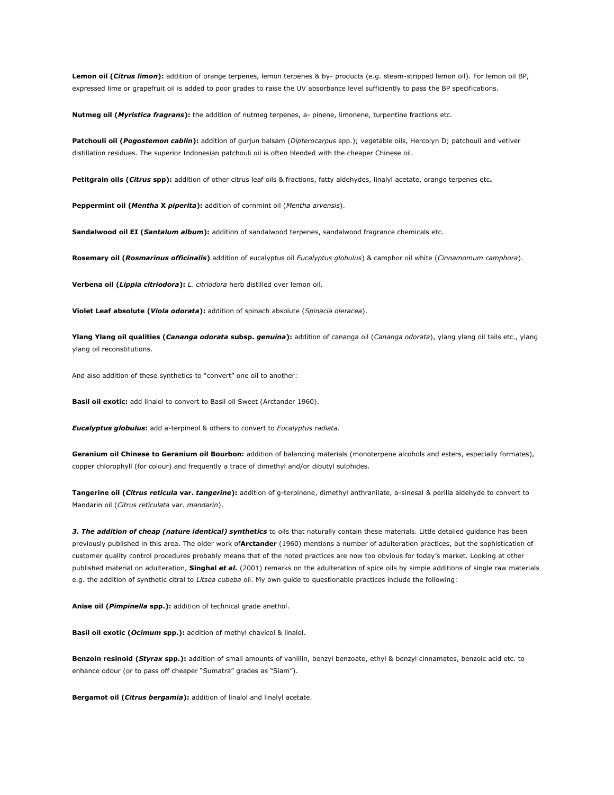**Lemon oil (***Citrus limon***):** addition of orange terpenes, lemon terpenes & by- products (e.g. steam-stripped lemon oil). For lemon oil BP, expressed lime or grapefruit oil is added to poor grades to raise the UV absorbance level sufficiently to pass the BP specifications.

**Nutmeg oil (***Myristica fragrans***):** the addition of nutmeg terpenes, a- pinene, limonene, turpentine fractions etc.

**Patchouli oil (***Pogostemon cablin***):** addition of gurjun balsam (*Dipterocarpus* spp.); vegetable oils, Hercolyn D; patchouli and vetiver distillation residues. The superior Indonesian patchouli oil is often blended with the cheaper Chinese oil.

**Petitgrain oils (***Citrus* **spp):** addition of other citrus leaf oils & fractions, fatty aldehydes, linalyl acetate, orange terpenes etc**.**

**Peppermint oil (***Mentha* **X** *piperita***):** addition of cornmint oil (*Mentha arvensis*).

**Sandalwood oil EI (***Santalum album***):** addition of sandalwood terpenes, sandalwood fragrance chemicals etc.

**Rosemary oil (***Rosmarinus officinalis***)** addition of eucalyptus oil *Eucalyptus globulus*) & camphor oil white (*Cinnamomum camphora*).

**Verbena oil (***Lippia citriodora***):** *L. citriodora* herb distilled over lemon oil.

**Violet Leaf absolute (***Viola odorata***):** addition of spinach absolute (*Spinacia oleracea*).

**Ylang Ylang oil qualities (***Cananga odorata* **subsp.** *genuina***):** addition of cananga oil (*Cananga odorata*), ylang ylang oil tails etc., ylang ylang oil reconstitutions.

And also addition of these synthetics to "convert" one oil to another:

**Basil oil exotic:** add linalol to convert to Basil oil Sweet (Arctander 1960).

*Eucalyptus globulus***:** add a-terpineol & others to convert to *Eucalyptus radiata.*

**Geranium oil Chinese to Geranium oil Bourbon:** addition of balancing materials (monoterpene alcohols and esters, especially formates), copper chlorophyll (for colour) and frequently a trace of dimethyl and/or dibutyl sulphides.

**Tangerine oil (***Citrus reticula* **var.** *tangerine***):** addition of g-terpinene, dimethyl anthranilate, a-sinesal & perilla aldehyde to convert to Mandarin oil (*Citrus reticulata* var. *mandarin*).

3. The addition of cheap (nature identical) synthetics to oils that naturally contain these materials. Little detailed guidance has been previously published in this area. The older work of**Arctander** (1960) mentions a number of adulteration practices, but the sophistication of customer quality control procedures probably means that of the noted practices are now too obvious for today's market. Looking at other published material on adulteration, **Singhal** *et al***.** (2001) remarks on the adulteration of spice oils by simple additions of single raw materials e.g. the addition of synthetic citral to *Litsea cubeba* oil. My own guide to questionable practices include the following:

**Anise oil (***Pimpinella* **spp.):** addition of technical grade anethol.

**Basil oil exotic (***Ocimum* **spp.):** addition of methyl chavicol & linalol.

**Benzoin resinoid (***Styrax* **spp.):** addition of small amounts of vanillin, benzyl benzoate, ethyl & benzyl cinnamates, benzoic acid etc. to enhance odour (or to pass off cheaper "Sumatra" grades as "Siam").

**Bergamot oil (***Citrus bergamia***):** addition of linalol and linalyl acetate.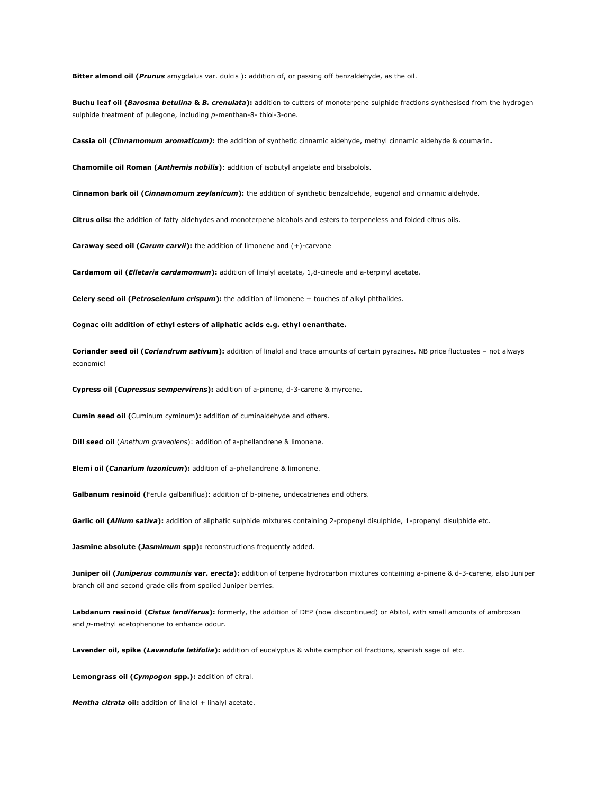**Bitter almond oil (***Prunus* amygdalus var. dulcis )**:** addition of, or passing off benzaldehyde, as the oil.

**Buchu leaf oil (***Barosma betulina* **&** *B. crenulata***):** addition to cutters of monoterpene sulphide fractions synthesised from the hydrogen sulphide treatment of pulegone, including *p*-menthan-8- thiol-3-one.

**Cassia oil (***Cinnamomum aromaticum)***:** the addition of synthetic cinnamic aldehyde, methyl cinnamic aldehyde & coumarin**.**

**Chamomile oil Roman (***Anthemis nobilis***)**: addition of isobutyl angelate and bisabolols.

**Cinnamon bark oil (***Cinnamomum zeylanicum***):** the addition of synthetic benzaldehde, eugenol and cinnamic aldehyde.

**Citrus oils:** the addition of fatty aldehydes and monoterpene alcohols and esters to terpeneless and folded citrus oils.

**Caraway seed oil (***Carum carvii***):** the addition of limonene and (+)-carvone

**Cardamom oil (***Elletaria cardamomum***):** addition of linalyl acetate, 1,8-cineole and a-terpinyl acetate.

**Celery seed oil (***Petroselenium crispum***):** the addition of limonene + touches of alkyl phthalides.

**Cognac oil: addition of ethyl esters of aliphatic acids e.g. ethyl oenanthate.**

**Coriander seed oil (***Coriandrum sativum***):** addition of linalol and trace amounts of certain pyrazines. NB price fluctuates – not always economic!

**Cypress oil (***Cupressus sempervirens***):** addition of a-pinene, d-3-carene & myrcene.

**Cumin seed oil (**Cuminum cyminum**):** addition of cuminaldehyde and others.

**Dill seed oil** (*Anethum graveolens*): addition of a-phellandrene & limonene.

**Elemi oil (***Canarium luzonicum***):** addition of a-phellandrene & limonene.

**Galbanum resinoid (**Ferula galbaniflua): addition of b-pinene, undecatrienes and others.

Garlic oil (Allium sativa): addition of aliphatic sulphide mixtures containing 2-propenyl disulphide, 1-propenyl disulphide etc.

**Jasmine absolute (***Jasmimum* **spp):** reconstructions frequently added.

**Juniper oil (***Juniperus communis* **var.** *erecta***):** addition of terpene hydrocarbon mixtures containing a-pinene & d-3-carene, also Juniper branch oil and second grade oils from spoiled Juniper berries.

**Labdanum resinoid (***Cistus landiferus***):** formerly, the addition of DEP (now discontinued) or Abitol, with small amounts of ambroxan and *p*-methyl acetophenone to enhance odour.

**Lavender oil, spike (***Lavandula latifolia***):** addition of eucalyptus & white camphor oil fractions, spanish sage oil etc.

**Lemongrass oil (***Cympogon* **spp.):** addition of citral.

*Mentha citrata oil:* addition of linalol + linalyl acetate.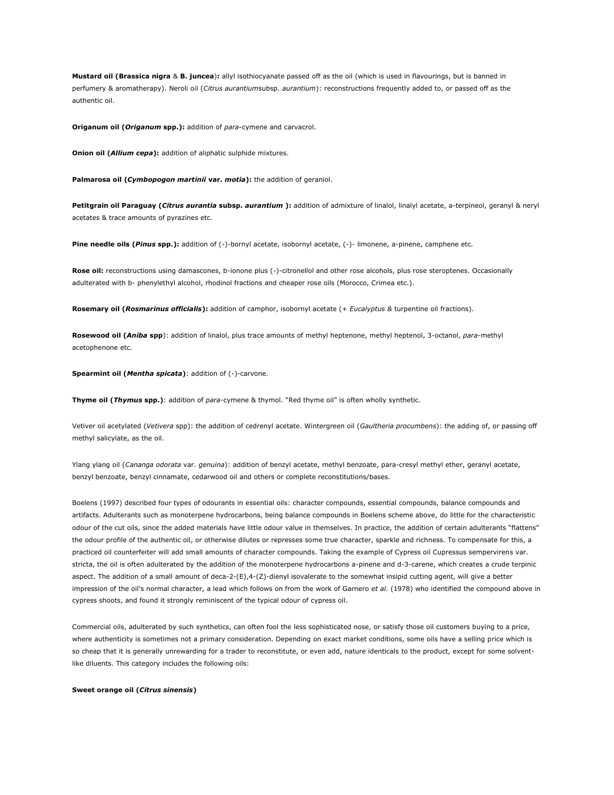**Mustard oil (Brassica nigra** & **B. juncea**)**:** allyl isothiocyanate passed off as the oil (which is used in flavourings, but is banned in perfumery & aromatherapy). Neroli oil (*Citrus aurantium*subsp. *aurantium*): reconstructions frequently added to, or passed off as the authentic oil.

**Origanum oil (***Origanum* **spp.):** addition of *para*-cymene and carvacrol.

**Onion oil (***Allium cepa***):** addition of aliphatic sulphide mixtures.

**Palmarosa oil (***Cymbopogon martinii* **var.** *motia***):** the addition of geraniol.

**Petitgrain oil Paraguay (***Citrus aurantia* **subsp.** *aurantium* **):** addition of admixture of linalol, linalyl acetate, a-terpineol, geranyl & neryl acetates & trace amounts of pyrazines etc.

**Pine needle oils (***Pinus* **spp.):** addition of (-)-bornyl acetate, isobornyl acetate, (-)- limonene, a-pinene, camphene etc.

**Rose oil:** reconstructions using damascones, b-ionone plus (-)-citronellol and other rose alcohols, plus rose steroptenes. Occasionally adulterated with b- phenylethyl alcohol, rhodinol fractions and cheaper rose oils (Morocco, Crimea etc.).

**Rosemary oil (***Rosmarinus officialis***):** addition of camphor, isobornyl acetate (+ *Eucalyptus &* turpentine oil fractions).

**Rosewood oil (***Aniba* **spp**): addition of linalol, plus trace amounts of methyl heptenone, methyl heptenol, 3-octanol, *para-*methyl acetophenone etc.

**Spearmint oil (***Mentha spicata***)**: addition of (-)-carvone.

**Thyme oil (***Thymus* **spp.)**: addition of *para*-cymene & thymol. "Red thyme oil" is often wholly synthetic.

Vetiver oil acetylated (*Vetivera* spp): the addition of cedrenyl acetate. Wintergreen oil (*Gaultheria procumbens*): the adding of, or passing off methyl salicylate, as the oil.

Ylang ylang oil (*Cananga odorata* var. *genuina*): addition of benzyl acetate, methyl benzoate, para-cresyl methyl ether, geranyl acetate, benzyl benzoate, benzyl cinnamate, cedarwood oil and others or complete reconstitutions/bases.

Boelens (1997) described four types of odourants in essential oils: character compounds, essential compounds, balance compounds and artifacts. Adulterants such as monoterpene hydrocarbons, being balance compounds in Boelens scheme above, do little for the characteristic odour of the cut oils, since the added materials have little odour value in themselves. In practice, the addition of certain adulterants "flattens" the odour profile of the authentic oil, or otherwise dilutes or represses some true character, sparkle and richness. To compensate for this, a practiced oil counterfeiter will add small amounts of character compounds. Taking the example of Cypress oil Cupressus sempervirens var. stricta, the oil is often adulterated by the addition of the monoterpene hydrocarbons a-pinene and d-3-carene, which creates a crude terpinic aspect. The addition of a small amount of deca-2-(E),4-(Z)-dienyl isovalerate to the somewhat insipid cutting agent, will give a better impression of the oil's normal character, a lead which follows on from the work of Garnero *et al*. (1978) who identified the compound above in cypress shoots, and found it strongly reminiscent of the typical odour of cypress oil.

Commercial oils, adulterated by such synthetics, can often fool the less sophisticated nose, or satisfy those oil customers buying to a price, where authenticity is sometimes not a primary consideration. Depending on exact market conditions, some oils have a selling price which is so cheap that it is generally unrewarding for a trader to reconstitute, or even add, nature identicals to the product, except for some solventlike diluents. This category includes the following oils:

## **Sweet orange oil (***Citrus sinensis***)**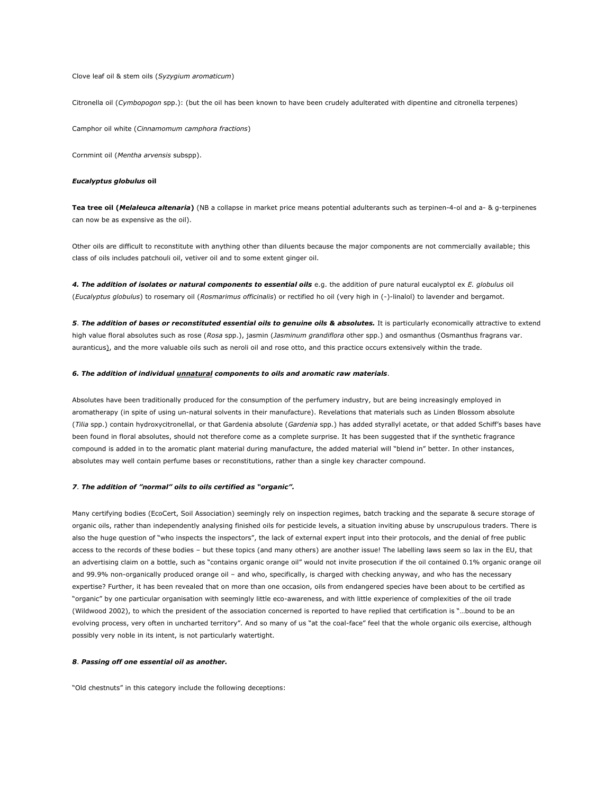Clove leaf oil & stem oils (*Syzygium aromaticum*)

Citronella oil (*Cymbopogon* spp.): (but the oil has been known to have been crudely adulterated with dipentine and citronella terpenes)

Camphor oil white (*Cinnamomum camphora fractions*)

Cornmint oil (*Mentha arvensis* subspp).

## *Eucalyptus globulus* **oil**

**Tea tree oil (***Melaleuca altenaria***)** (NB a collapse in market price means potential adulterants such as terpinen-4-ol and a- & g-terpinenes can now be as expensive as the oil).

Other oils are difficult to reconstitute with anything other than diluents because the major components are not commercially available; this class of oils includes patchouli oil, vetiver oil and to some extent ginger oil.

*4. The addition of isolates or natural components to essential oils* e.g. the addition of pure natural eucalyptol ex *E. globulus* oil (*Eucalyptus globulus*) to rosemary oil (*Rosmarimus officinalis*) or rectified ho oil (very high in (-)-linalol) to lavender and bergamot.

*5*. *The addition of bases or reconstituted essential oils to genuine oils & absolutes.* It is particularly economically attractive to extend high value floral absolutes such as rose (*Rosa* spp.), jasmin (*Jasminum grandiflora* other spp.) and osmanthus (Osmanthus fragrans var. auranticus), and the more valuable oils such as neroli oil and rose otto, and this practice occurs extensively within the trade.

## *6. The addition of individual unnatural components to oils and aromatic raw materials*.

Absolutes have been traditionally produced for the consumption of the perfumery industry, but are being increasingly employed in aromatherapy (in spite of using un-natural solvents in their manufacture). Revelations that materials such as Linden Blossom absolute (*Tilia* spp.) contain hydroxycitronellal, or that Gardenia absolute (*Gardenia* spp.) has added styrallyl acetate, or that added Schiff's bases have been found in floral absolutes, should not therefore come as a complete surprise. It has been suggested that if the synthetic fragrance compound is added in to the aromatic plant material during manufacture, the added material will "blend in" better. In other instances, absolutes may well contain perfume bases or reconstitutions, rather than a single key character compound.

#### *7*. *The addition of "normal" oils to oils certified as "organic".*

Many certifying bodies (EcoCert, Soil Association) seemingly rely on inspection regimes, batch tracking and the separate & secure storage of organic oils, rather than independently analysing finished oils for pesticide levels, a situation inviting abuse by unscrupulous traders. There is also the huge question of "who inspects the inspectors", the lack of external expert input into their protocols, and the denial of free public access to the records of these bodies – but these topics (and many others) are another issue! The labelling laws seem so lax in the EU, that an advertising claim on a bottle, such as "contains organic orange oil" would not invite prosecution if the oil contained 0.1% organic orange oil and 99.9% non-organically produced orange oil – and who, specifically, is charged with checking anyway, and who has the necessary expertise? Further, it has been revealed that on more than one occasion, oils from endangered species have been about to be certified as "organic" by one particular organisation with seemingly little eco-awareness, and with little experience of complexities of the oil trade (Wildwood 2002), to which the president of the association concerned is reported to have replied that certification is "…bound to be an evolving process, very often in uncharted territory". And so many of us "at the coal-face" feel that the whole organic oils exercise, although possibly very noble in its intent, is not particularly watertight.

#### *8*. *Passing off one essential oil as another.*

"Old chestnuts" in this category include the following deceptions: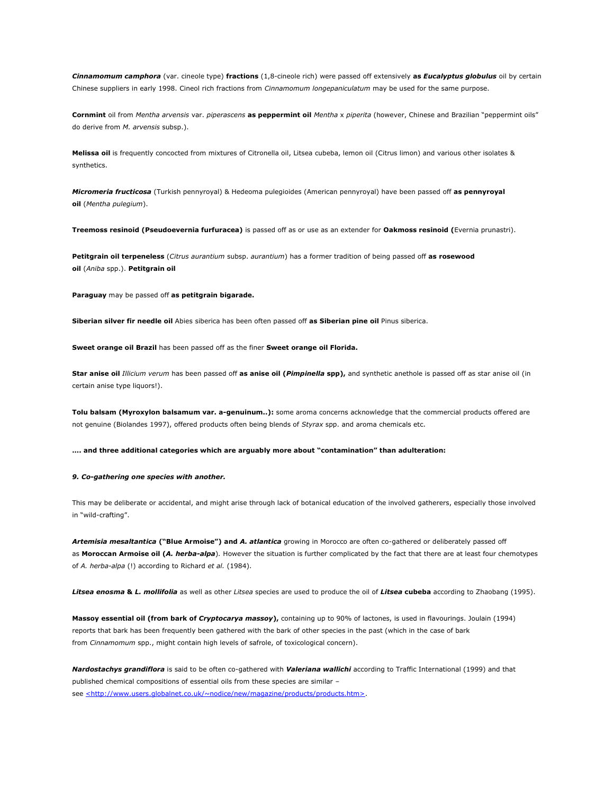*Cinnamomum camphora* (var. cineole type) **fractions** (1,8-cineole rich) were passed off extensively **as** *Eucalyptus globulus* oil by certain Chinese suppliers in early 1998. Cineol rich fractions from *Cinnamomum longepaniculatum* may be used for the same purpose.

**Cornmint** oil from *Mentha arvensis* var. *piperascens* **as peppermint oil** *Mentha* x *piperita* (however, Chinese and Brazilian "peppermint oils" do derive from *M. arvensis* subsp.).

**Melissa oil** is frequently concocted from mixtures of Citronella oil, Litsea cubeba, lemon oil (Citrus limon) and various other isolates & synthetics.

*Micromeria fructicosa* (Turkish pennyroyal) & Hedeoma pulegioides (American pennyroyal) have been passed off **as pennyroyal oil** (*Mentha pulegium*).

**Treemoss resinoid (Pseudoevernia furfuracea)** is passed off as or use as an extender for **Oakmoss resinoid (**Evernia prunastri).

**Petitgrain oil terpeneless** (*Citrus aurantium* subsp. *aurantium*) has a former tradition of being passed off **as rosewood oil** (*Aniba* spp.). **Petitgrain oil**

**Paraguay** may be passed off **as petitgrain bigarade.**

**Siberian silver fir needle oil** Abies siberica has been often passed off **as Siberian pine oil** Pinus siberica.

**Sweet orange oil Brazil** has been passed off as the finer **Sweet orange oil Florida.**

**Star anise oil** *Illicium verum* has been passed off **as anise oil (***Pimpinella* **spp),** and synthetic anethole is passed off as star anise oil (in certain anise type liquors!).

**Tolu balsam (Myroxylon balsamum var. a-genuinum..):** some aroma concerns acknowledge that the commercial products offered are not genuine (Biolandes 1997), offered products often being blends of *Styrax* spp. and aroma chemicals etc.

**…. and three additional categories which are arguably more about "contamination" than adulteration:**

*9. Co-gathering one species with another.*

This may be deliberate or accidental, and might arise through lack of botanical education of the involved gatherers, especially those involved in "wild-crafting".

*Artemisia mesaltantica* **("Blue Armoise") and** *A. atlantica* growing in Morocco are often co-gathered or deliberately passed off as **Moroccan Armoise oil (***A. herba-alpa*)*.* However the situation is further complicated by the fact that there are at least four chemotypes of *A. herba-alpa* (!) according to Richard *et al.* (1984).

*Litsea enosma* **&** *L. mollifolia* as well as other *Litsea* species are used to produce the oil of *Litsea* **cubeba** according to Zhaobang (1995).

**Massoy essential oil (from bark of** *Cryptocarya massoy***),** containing up to 90% of lactones, is used in flavourings. Joulain (1994) reports that bark has been frequently been gathered with the bark of other species in the past (which in the case of bark from *Cinnamomum* spp., might contain high levels of safrole, of toxicological concern).

*Nardostachys grandiflora* is said to be often co-gathered with *Valeriana wallichi* according to Traffic International (1999) and that published chemical compositions of essential oils from these species are similar – see <http://www.users.globalnet.co.uk/~nodice/new/magazine/products/products.htm>.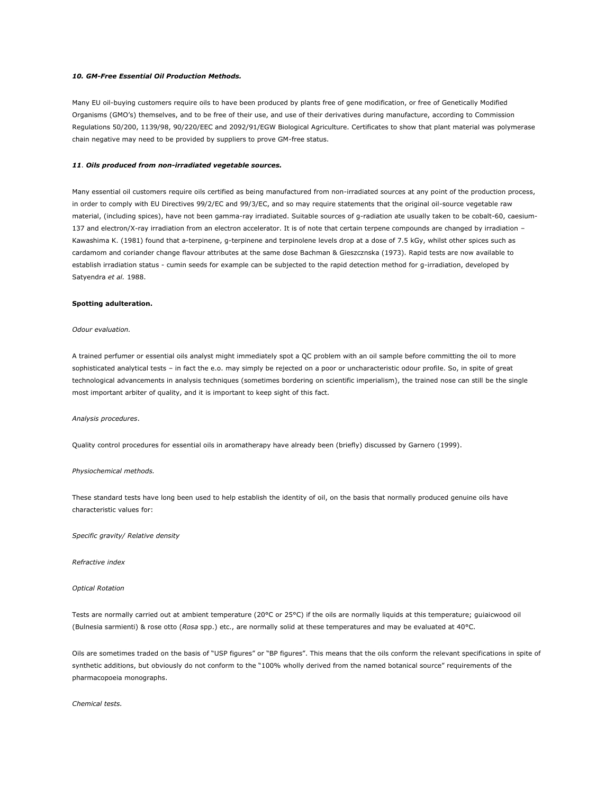## *10. GM-Free Essential Oil Production Methods.*

Many EU oil-buying customers require oils to have been produced by plants free of gene modification, or free of Genetically Modified Organisms (GMO's) themselves, and to be free of their use, and use of their derivatives during manufacture, according to Commission Regulations 50/200, 1139/98, 90/220/EEC and 2092/91/EGW Biological Agriculture. Certificates to show that plant material was polymerase chain negative may need to be provided by suppliers to prove GM-free status.

## *11*. *Oils produced from non-irradiated vegetable sources.*

Many essential oil customers require oils certified as being manufactured from non-irradiated sources at any point of the production process, in order to comply with EU Directives 99/2/EC and 99/3/EC, and so may require statements that the original oil-source vegetable raw material, (including spices), have not been gamma-ray irradiated. Suitable sources of g-radiation ate usually taken to be cobalt-60, caesium-137 and electron/X-ray irradiation from an electron accelerator. It is of note that certain terpene compounds are changed by irradiation – Kawashima K. (1981) found that a-terpinene, g-terpinene and terpinolene levels drop at a dose of 7.5 kGy, whilst other spices such as cardamom and coriander change flavour attributes at the same dose Bachman & Gieszcznska (1973). Rapid tests are now available to establish irradiation status - cumin seeds for example can be subjected to the rapid detection method for g-irradiation, developed by Satyendra *et al.* 1988.

#### **Spotting adulteration.**

## *Odour evaluation.*

A trained perfumer or essential oils analyst might immediately spot a QC problem with an oil sample before committing the oil to more sophisticated analytical tests – in fact the e.o. may simply be rejected on a poor or uncharacteristic odour profile. So, in spite of great technological advancements in analysis techniques (sometimes bordering on scientific imperialism), the trained nose can still be the single most important arbiter of quality, and it is important to keep sight of this fact.

#### *Analysis procedures*.

Quality control procedures for essential oils in aromatherapy have already been (briefly) discussed by Garnero (1999).

#### *Physiochemical methods.*

These standard tests have long been used to help establish the identity of oil, on the basis that normally produced genuine oils have characteristic values for:

*Specific gravity/ Relative density*

*Refractive index*

#### *Optical Rotation*

Tests are normally carried out at ambient temperature (20°C or 25°C) if the oils are normally liquids at this temperature; guiaicwood oil (Bulnesia sarmienti) & rose otto (*Rosa* spp.) etc., are normally solid at these temperatures and may be evaluated at 40°C.

Oils are sometimes traded on the basis of "USP figures" or "BP figures". This means that the oils conform the relevant specifications in spite of synthetic additions, but obviously do not conform to the "100% wholly derived from the named botanical source" requirements of the pharmacopoeia monographs.

*Chemical tests.*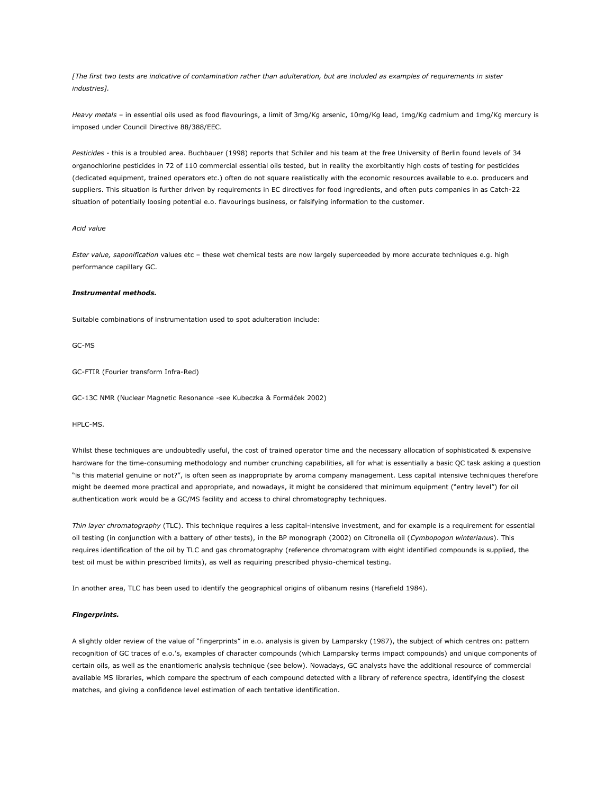*[The first two tests are indicative of contamination rather than adulteration, but are included as examples of requirements in sister industries].*

*Heavy metals* – in essential oils used as food flavourings, a limit of 3mg/Kg arsenic, 10mg/Kg lead, 1mg/Kg cadmium and 1mg/Kg mercury is imposed under Council Directive 88/388/EEC.

*Pesticides -* this is a troubled area. Buchbauer (1998) reports that Schiler and his team at the free University of Berlin found levels of 34 organochlorine pesticides in 72 of 110 commercial essential oils tested, but in reality the exorbitantly high costs of testing for pesticides (dedicated equipment, trained operators etc.) often do not square realistically with the economic resources available to e.o. producers and suppliers. This situation is further driven by requirements in EC directives for food ingredients, and often puts companies in as Catch-22 situation of potentially loosing potential e.o. flavourings business, or falsifying information to the customer.

#### *Acid value*

*Ester value, saponification* values etc – these wet chemical tests are now largely superceeded by more accurate techniques e.g. high performance capillary GC.

#### *Instrumental methods.*

Suitable combinations of instrumentation used to spot adulteration include:

GC-MS

GC-FTIR (Fourier transform Infra-Red)

GC-13C NMR (Nuclear Magnetic Resonance -see Kubeczka & Formáček 2002)

HPLC-MS.

Whilst these techniques are undoubtedly useful, the cost of trained operator time and the necessary allocation of sophisticated & expensive hardware for the time-consuming methodology and number crunching capabilities, all for what is essentially a basic QC task asking a question "is this material genuine or not?", is often seen as inappropriate by aroma company management. Less capital intensive techniques therefore might be deemed more practical and appropriate, and nowadays, it might be considered that minimum equipment ("entry level") for oil authentication work would be a GC/MS facility and access to chiral chromatography techniques.

*Thin layer chromatography* (TLC). This technique requires a less capital-intensive investment, and for example is a requirement for essential oil testing (in conjunction with a battery of other tests), in the BP monograph (2002) on Citronella oil (*Cymbopogon winterianus*). This requires identification of the oil by TLC and gas chromatography (reference chromatogram with eight identified compounds is supplied, the test oil must be within prescribed limits), as well as requiring prescribed physio-chemical testing.

In another area, TLC has been used to identify the geographical origins of olibanum resins (Harefield 1984).

#### *Fingerprints.*

A slightly older review of the value of "fingerprints" in e.o. analysis is given by Lamparsky (1987), the subject of which centres on: pattern recognition of GC traces of e.o.'s, examples of character compounds (which Lamparsky terms impact compounds) and unique components of certain oils, as well as the enantiomeric analysis technique (see below). Nowadays, GC analysts have the additional resource of commercial available MS libraries, which compare the spectrum of each compound detected with a library of reference spectra, identifying the closest matches, and giving a confidence level estimation of each tentative identification.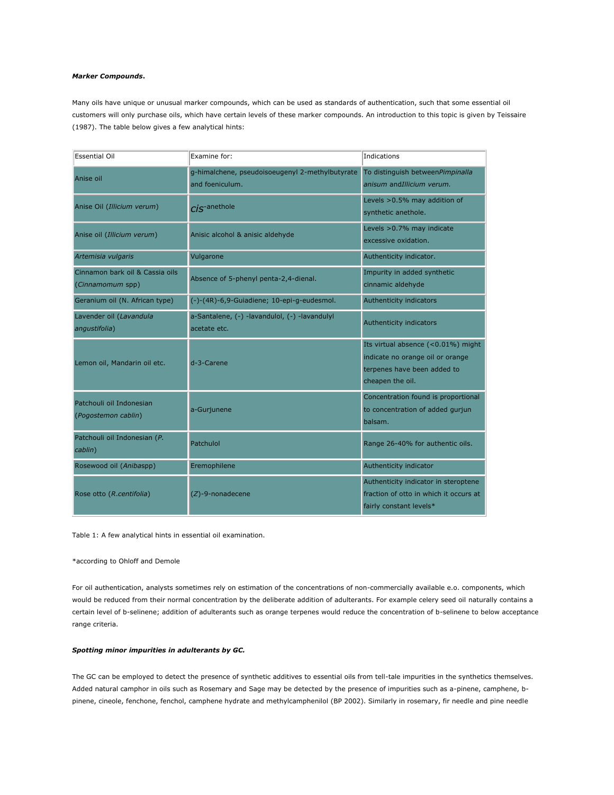## *Marker Compounds***.**

Many oils have unique or unusual marker compounds, which can be used as standards of authentication, such that some essential oil customers will only purchase oils, which have certain levels of these marker compounds. An introduction to this topic is given by Teissaire (1987). The table below gives a few analytical hints:

| <b>Essential Oil</b>                                | Examine for:                                                       | Indications                                                                                                               |
|-----------------------------------------------------|--------------------------------------------------------------------|---------------------------------------------------------------------------------------------------------------------------|
| Anise oil                                           | g-himalchene, pseudoisoeugenyl 2-methylbutyrate<br>and foeniculum. | To distinguish betweenPimpinalla<br>anisum andIllicium verum.                                                             |
| Anise Oil (Illicium verum)                          | $\overline{cis}$ -anethole                                         | Levels > 0.5% may addition of<br>synthetic anethole.                                                                      |
| Anise oil (Illicium verum)                          | Anisic alcohol & anisic aldehyde                                   | Levels > 0.7% may indicate<br>excessive oxidation.                                                                        |
| Artemisia vulgaris                                  | Vulgarone                                                          | Authenticity indicator.                                                                                                   |
| Cinnamon bark oil & Cassia oils<br>(Cinnamomum spp) | Absence of 5-phenyl penta-2,4-dienal.                              | Impurity in added synthetic<br>cinnamic aldehyde                                                                          |
| Geranium oil (N. African type)                      | (-)-(4R)-6,9-Guiadiene; 10-epi-g-eudesmol.                         | Authenticity indicators                                                                                                   |
| Lavender oil (Lavandula<br>angustifolia)            | a-Santalene, (-) -lavandulol, (-) -lavandulyl<br>acetate etc.      | Authenticity indicators                                                                                                   |
| Lemon oil, Mandarin oil etc.                        | d-3-Carene                                                         | Its virtual absence (<0.01%) might<br>indicate no orange oil or orange<br>terpenes have been added to<br>cheapen the oil. |
| Patchouli oil Indonesian<br>(Pogostemon cablin)     | a-Gurjunene                                                        | Concentration found is proportional<br>to concentration of added gurjun<br>balsam.                                        |
| Patchouli oil Indonesian (P.<br>cablin)             | Patchulol                                                          | Range 26-40% for authentic oils.                                                                                          |
| Rosewood oil (Anibaspp)                             | Eremophilene                                                       | Authenticity indicator                                                                                                    |
| Rose otto (R.centifolia)                            | $(Z)$ -9-nonadecene                                                | Authenticity indicator in steroptene<br>fraction of otto in which it occurs at<br>fairly constant levels*                 |

Table 1: A few analytical hints in essential oil examination.

## \*according to Ohloff and Demole

For oil authentication, analysts sometimes rely on estimation of the concentrations of non-commercially available e.o. components, which would be reduced from their normal concentration by the deliberate addition of adulterants. For example celery seed oil naturally contains a certain level of b-selinene; addition of adulterants such as orange terpenes would reduce the concentration of b-selinene to below acceptance range criteria.

## *Spotting minor impurities in adulterants by GC.*

The GC can be employed to detect the presence of synthetic additives to essential oils from tell-tale impurities in the synthetics themselves. Added natural camphor in oils such as Rosemary and Sage may be detected by the presence of impurities such as a-pinene, camphene, bpinene, cineole, fenchone, fenchol, camphene hydrate and methylcamphenilol (BP 2002). Similarly in rosemary, fir needle and pine needle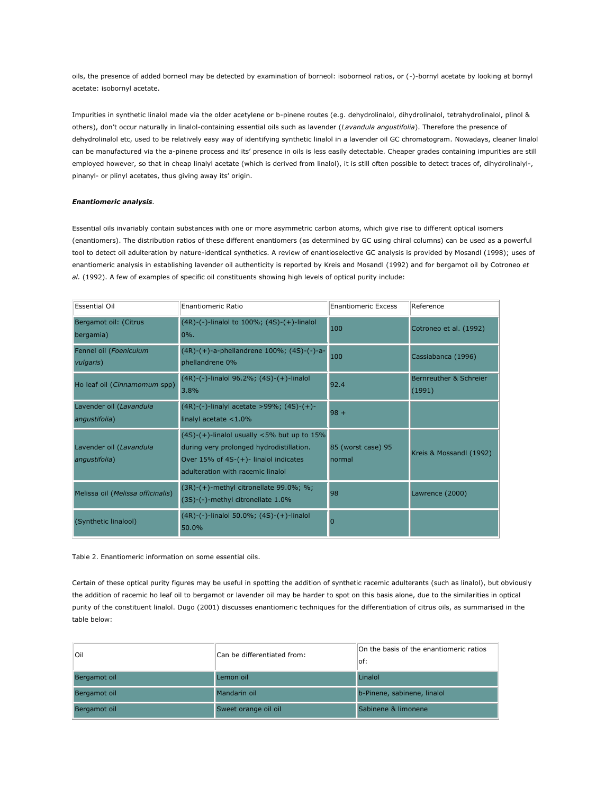oils, the presence of added borneol may be detected by examination of borneol: isoborneol ratios, or (-)-bornyl acetate by looking at bornyl acetate: isobornyl acetate.

Impurities in synthetic linalol made via the older acetylene or b-pinene routes (e.g. dehydrolinalol, dihydrolinalol, tetrahydrolinalol, plinol & others), don't occur naturally in linalol-containing essential oils such as lavender (*Lavandula angustifolia*). Therefore the presence of dehydrolinalol etc, used to be relatively easy way of identifying synthetic linalol in a lavender oil GC chromatogram. Nowadays, cleaner linalol can be manufactured via the a-pinene process and its' presence in oils is less easily detectable. Cheaper grades containing impurities are still employed however, so that in cheap linalyl acetate (which is derived from linalol), it is still often possible to detect traces of, dihydrolinalyl-, pinanyl- or plinyl acetates, thus giving away its' origin.

#### *Enantiomeric analysis.*

Essential oils invariably contain substances with one or more asymmetric carbon atoms, which give rise to different optical isomers (enantiomers). The distribution ratios of these different enantiomers (as determined by GC using chiral columns) can be used as a powerful tool to detect oil adulteration by nature-identical synthetics. A review of enantioselective GC analysis is provided by Mosandl (1998); uses of enantiomeric analysis in establishing lavender oil authenticity is reported by Kreis and Mosandl (1992) and for bergamot oil by Cotroneo *et al.* (1992). A few of examples of specific oil constituents showing high levels of optical purity include:

| <b>Essential Oil</b>                     | Enantiomeric Ratio                                                                                                                                                            | <b>Enantiomeric Excess</b>   | Reference                        |
|------------------------------------------|-------------------------------------------------------------------------------------------------------------------------------------------------------------------------------|------------------------------|----------------------------------|
| Bergamot oil: (Citrus<br>bergamia)       | $(4R)$ -(-)-linalol to 100%; $(4S)$ -(+)-linalol<br>$0\%$ .                                                                                                                   | 100                          | Cotroneo et al. (1992)           |
| Fennel oil (Foeniculum<br>vulgaris)      | (4R)-(+)-a-phellandrene 100%; (4S)-(-)-a-<br>phellandrene 0%                                                                                                                  | 100                          | Cassiabanca (1996)               |
| Ho leaf oil (Cinnamomum spp)             | (4R)-(-)-linalol 96.2%; (4S)-(+)-linalol<br>3.8%                                                                                                                              | 92.4                         | Bernreuther & Schreier<br>(1991) |
| Lavender oil (Lavandula<br>angustifolia) | $(4R)$ - $(-)$ -linalyl acetate >99%; $(4S)$ - $(+)$ -<br>linalyl acetate $<$ 1.0%                                                                                            | $98 +$                       |                                  |
| Lavender oil (Lavandula<br>angustifolia) | $(4S)-(+)$ -linalol usually <5% but up to 15%<br>during very prolonged hydrodistillation.<br>Over $15\%$ of $4S-(+)$ - linalol indicates<br>adulteration with racemic linalol | 85 (worst case) 95<br>normal | Kreis & Mossandl (1992)          |
| Melissa oil (Melissa officinalis)        | (3R)-(+)-methyl citronellate 99.0%; %;<br>(3S)-(-)-methyl citronellate 1.0%                                                                                                   | 98                           | Lawrence (2000)                  |
| (Synthetic linalool)                     | (4R)-(-)-linalol 50.0%; (4S)-(+)-linalol<br>50.0%                                                                                                                             | $\overline{0}$               |                                  |

Table 2. Enantiomeric information on some essential oils.

Certain of these optical purity figures may be useful in spotting the addition of synthetic racemic adulterants (such as linalol), but obviously the addition of racemic ho leaf oil to bergamot or lavender oil may be harder to spot on this basis alone, due to the similarities in optical purity of the constituent linalol. Dugo (2001) discusses enantiomeric techniques for the differentiation of citrus oils, as summarised in the table below:

| lOil         | Can be differentiated from: | On the basis of the enantiomeric ratios<br>lof: |
|--------------|-----------------------------|-------------------------------------------------|
| Bergamot oil | Lemon oil                   | Linalol                                         |
| Bergamot oil | Mandarin oil                | b-Pinene, sabinene, linalol                     |
| Bergamot oil | Sweet orange oil oil        | Sabinene & limonene                             |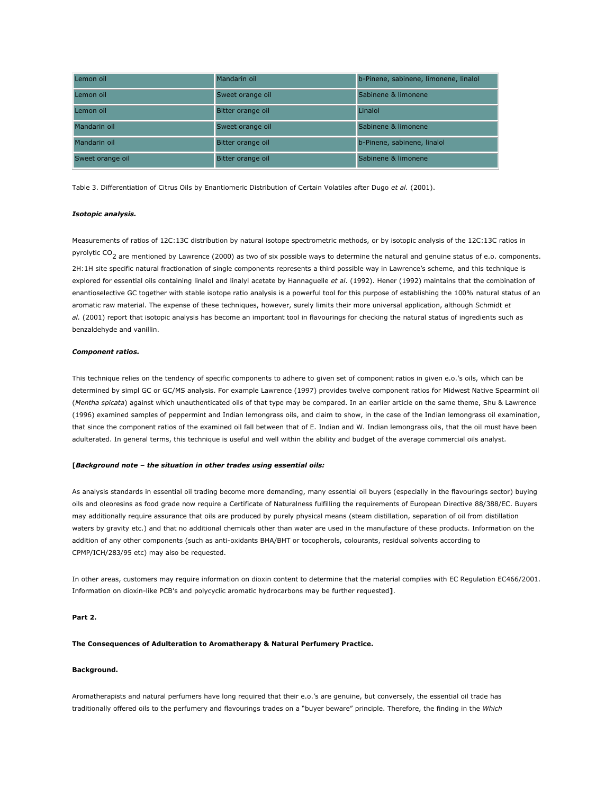| Lemon oil        | Mandarin oil      | b-Pinene, sabinene, limonene, linalol |
|------------------|-------------------|---------------------------------------|
| Lemon oil        | Sweet orange oil  | Sabinene & limonene                   |
| Lemon oil        | Bitter orange oil | Linalol                               |
| Mandarin oil     | Sweet orange oil  | Sabinene & limonene                   |
| Mandarin oil     | Bitter orange oil | b-Pinene, sabinene, linalol           |
| Sweet orange oil | Bitter orange oil | Sabinene & limonene                   |

Table 3. Differentiation of Citrus Oils by Enantiomeric Distribution of Certain Volatiles after Dugo *et al.* (2001).

## *Isotopic analysis.*

Measurements of ratios of 12C:13C distribution by natural isotope spectrometric methods, or by isotopic analysis of the 12C:13C ratios in pyrolytic CO<sub>2</sub> are mentioned by Lawrence (2000) as two of six possible ways to determine the natural and genuine status of e.o. components. 2H:1H site specific natural fractionation of single components represents a third possible way in Lawrence's scheme, and this technique is explored for essential oils containing linalol and linalyl acetate by Hannaguelle *et al*. (1992). Hener (1992) maintains that the combination of enantioselective GC together with stable isotope ratio analysis is a powerful tool for this purpose of establishing the 100% natural status of an aromatic raw material. The expense of these techniques, however, surely limits their more universal application, although Schmidt *et al.* (2001) report that isotopic analysis has become an important tool in flavourings for checking the natural status of ingredients such as benzaldehyde and vanillin.

## *Component ratios.*

This technique relies on the tendency of specific components to adhere to given set of component ratios in given e.o.'s oils, which can be determined by simpl GC or GC/MS analysis. For example Lawrence (1997) provides twelve component ratios for Midwest Native Spearmint oil (*Mentha spicata*) against which unauthenticated oils of that type may be compared. In an earlier article on the same theme, Shu & Lawrence (1996) examined samples of peppermint and Indian lemongrass oils, and claim to show, in the case of the Indian lemongrass oil examination, that since the component ratios of the examined oil fall between that of E. Indian and W. Indian lemongrass oils, that the oil must have been adulterated. In general terms, this technique is useful and well within the ability and budget of the average commercial oils analyst.

#### **[***Background note – the situation in other trades using essential oils:*

As analysis standards in essential oil trading become more demanding, many essential oil buyers (especially in the flavourings sector) buying oils and oleoresins as food grade now require a Certificate of Naturalness fulfilling the requirements of European Directive 88/388/EC. Buyers may additionally require assurance that oils are produced by purely physical means (steam distillation, separation of oil from distillation waters by gravity etc.) and that no additional chemicals other than water are used in the manufacture of these products. Information on the addition of any other components (such as anti-oxidants BHA/BHT or tocopherols, colourants, residual solvents according to CPMP/ICH/283/95 etc) may also be requested.

In other areas, customers may require information on dioxin content to determine that the material complies with EC Regulation EC466/2001. Information on dioxin-like PCB's and polycyclic aromatic hydrocarbons may be further requested**]**.

## **Part 2.**

#### **The Consequences of Adulteration to Aromatherapy & Natural Perfumery Practice.**

## **Background.**

Aromatherapists and natural perfumers have long required that their e.o.'s are genuine, but conversely, the essential oil trade has traditionally offered oils to the perfumery and flavourings trades on a "buyer beware" principle. Therefore, the finding in the *Which*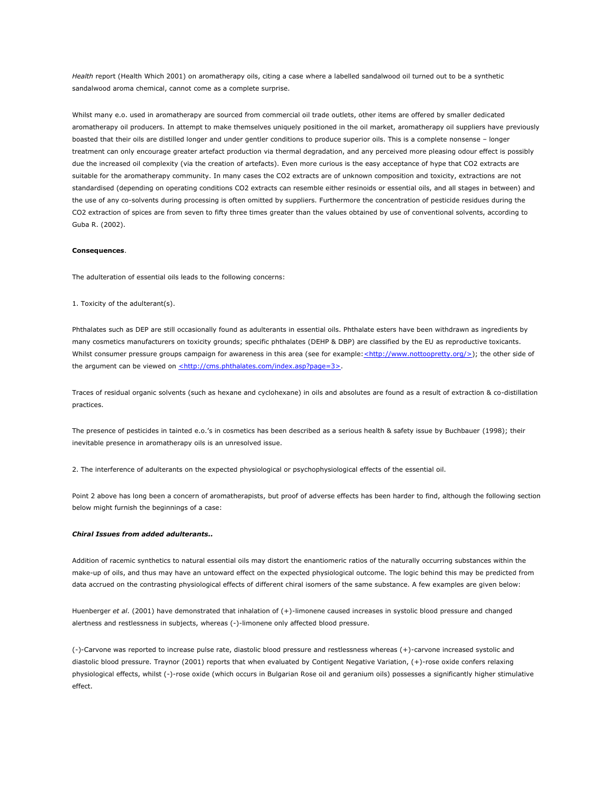*Health* report (Health Which 2001) on aromatherapy oils, citing a case where a labelled sandalwood oil turned out to be a synthetic sandalwood aroma chemical, cannot come as a complete surprise.

Whilst many e.o. used in aromatherapy are sourced from commercial oil trade outlets, other items are offered by smaller dedicated aromatherapy oil producers. In attempt to make themselves uniquely positioned in the oil market, aromatherapy oil suppliers have previously boasted that their oils are distilled longer and under gentler conditions to produce superior oils. This is a complete nonsense – longer treatment can only encourage greater artefact production via thermal degradation, and any perceived more pleasing odour effect is possibly due the increased oil complexity (via the creation of artefacts). Even more curious is the easy acceptance of hype that CO2 extracts are suitable for the aromatherapy community. In many cases the CO2 extracts are of unknown composition and toxicity, extractions are not standardised (depending on operating conditions CO2 extracts can resemble either resinoids or essential oils, and all stages in between) and the use of any co-solvents during processing is often omitted by suppliers. Furthermore the concentration of pesticide residues during the CO2 extraction of spices are from seven to fifty three times greater than the values obtained by use of conventional solvents, according to Guba R. (2002).

#### **Consequences**.

The adulteration of essential oils leads to the following concerns:

1. Toxicity of the adulterant(s).

Phthalates such as DEP are still occasionally found as adulterants in essential oils. Phthalate esters have been withdrawn as ingredients by many cosmetics manufacturers on toxicity grounds; specific phthalates (DEHP & DBP) are classified by the EU as reproductive toxicants. Whilst consumer pressure groups campaign for awareness in this area (see for example: <http://www.nottoopretty.org/>); the other side of the argument can be viewed on  $\frac{\text{tht}}{\text{t}}$ //cms.phthalates.com/index.asp?page=3>.

Traces of residual organic solvents (such as hexane and cyclohexane) in oils and absolutes are found as a result of extraction & co-distillation practices.

The presence of pesticides in tainted e.o.'s in cosmetics has been described as a serious health & safety issue by Buchbauer (1998); their inevitable presence in aromatherapy oils is an unresolved issue.

2. The interference of adulterants on the expected physiological or psychophysiological effects of the essential oil.

Point 2 above has long been a concern of aromatherapists, but proof of adverse effects has been harder to find, although the following section below might furnish the beginnings of a case:

#### *Chiral Issues from added adulterants..*

Addition of racemic synthetics to natural essential oils may distort the enantiomeric ratios of the naturally occurring substances within the make-up of oils, and thus may have an untoward effect on the expected physiological outcome. The logic behind this may be predicted from data accrued on the contrasting physiological effects of different chiral isomers of the same substance. A few examples are given below:

Huenberger *et al*. (2001) have demonstrated that inhalation of (+)-limonene caused increases in systolic blood pressure and changed alertness and restlessness in subjects, whereas (-)-limonene only affected blood pressure.

(-)-Carvone was reported to increase pulse rate, diastolic blood pressure and restlessness whereas (+)-carvone increased systolic and diastolic blood pressure. Traynor (2001) reports that when evaluated by Contigent Negative Variation, (+)-rose oxide confers relaxing physiological effects, whilst (-)-rose oxide (which occurs in Bulgarian Rose oil and geranium oils) possesses a significantly higher stimulative effect.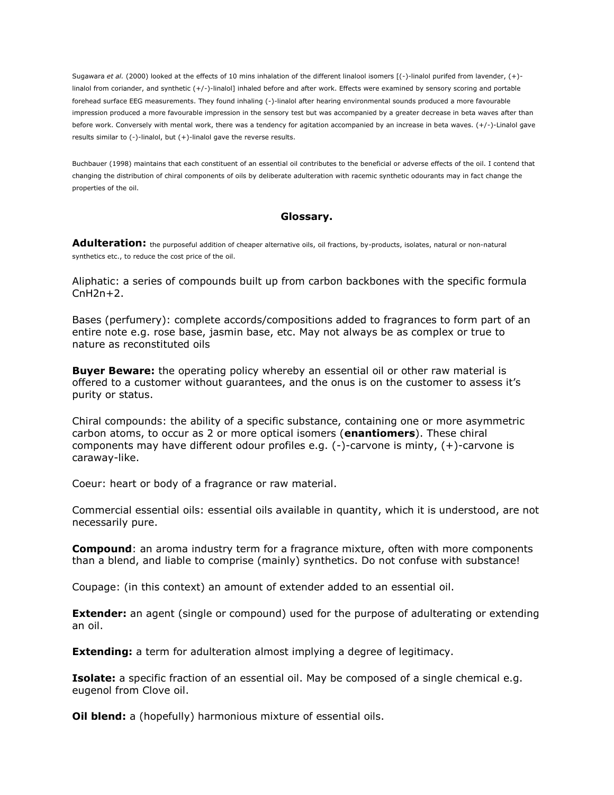Sugawara et al. (2000) looked at the effects of 10 mins inhalation of the different linalool isomers [(-)-linalol purifed from lavender, (+)linalol from coriander, and synthetic (+/-)-linalol] inhaled before and after work. Effects were examined by sensory scoring and portable forehead surface EEG measurements. They found inhaling (-)-linalol after hearing environmental sounds produced a more favourable impression produced a more favourable impression in the sensory test but was accompanied by a greater decrease in beta waves after than before work. Conversely with mental work, there was a tendency for agitation accompanied by an increase in beta waves. (+/-)-Linalol gave results similar to (-)-linalol, but (+)-linalol gave the reverse results.

Buchbauer (1998) maintains that each constituent of an essential oil contributes to the beneficial or adverse effects of the oil. I contend that changing the distribution of chiral components of oils by deliberate adulteration with racemic synthetic odourants may in fact change the properties of the oil.

# **Glossary.**

Adulteration: the purposeful addition of cheaper alternative oils, oil fractions, by-products, isolates, natural or non-natural synthetics etc., to reduce the cost price of the oil.

Aliphatic: a series of compounds built up from carbon backbones with the specific formula  $ChH2n+2.$ 

Bases (perfumery): complete accords/compositions added to fragrances to form part of an entire note e.g. rose base, jasmin base, etc. May not always be as complex or true to nature as reconstituted oils

**Buyer Beware:** the operating policy whereby an essential oil or other raw material is offered to a customer without guarantees, and the onus is on the customer to assess it's purity or status.

Chiral compounds: the ability of a specific substance, containing one or more asymmetric carbon atoms, to occur as 2 or more optical isomers (**enantiomers**). These chiral components may have different odour profiles e.g. (-)-carvone is minty, (+)-carvone is caraway-like.

Coeur: heart or body of a fragrance or raw material.

Commercial essential oils: essential oils available in quantity, which it is understood, are not necessarily pure.

**Compound**: an aroma industry term for a fragrance mixture, often with more components than a blend, and liable to comprise (mainly) synthetics. Do not confuse with substance!

Coupage: (in this context) an amount of extender added to an essential oil.

**Extender:** an agent (single or compound) used for the purpose of adulterating or extending an oil.

**Extending:** a term for adulteration almost implying a degree of legitimacy.

**Isolate:** a specific fraction of an essential oil. May be composed of a single chemical e.g. eugenol from Clove oil.

**Oil blend:** a (hopefully) harmonious mixture of essential oils.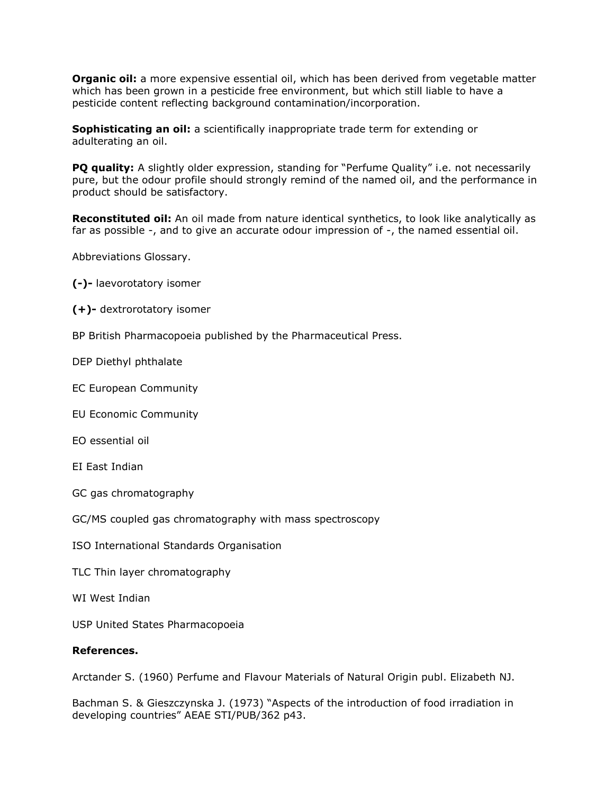**Organic oil:** a more expensive essential oil, which has been derived from vegetable matter which has been grown in a pesticide free environment, but which still liable to have a pesticide content reflecting background contamination/incorporation.

**Sophisticating an oil:** a scientifically inappropriate trade term for extending or adulterating an oil.

**PQ quality:** A slightly older expression, standing for "Perfume Quality" i.e. not necessarily pure, but the odour profile should strongly remind of the named oil, and the performance in product should be satisfactory.

**Reconstituted oil:** An oil made from nature identical synthetics, to look like analytically as far as possible -, and to give an accurate odour impression of -, the named essential oil.

Abbreviations Glossary.

**(-)-** laevorotatory isomer

**(+)-** dextrorotatory isomer

BP British Pharmacopoeia published by the Pharmaceutical Press.

DEP Diethyl phthalate

EC European Community

EU Economic Community

EO essential oil

EI East Indian

GC gas chromatography

GC/MS coupled gas chromatography with mass spectroscopy

ISO International Standards Organisation

TLC Thin layer chromatography

WI West Indian

USP United States Pharmacopoeia

# **References.**

Arctander S. (1960) Perfume and Flavour Materials of Natural Origin publ. Elizabeth NJ.

Bachman S. & Gieszczynska J. (1973) "Aspects of the introduction of food irradiation in developing countries" AEAE STI/PUB/362 p43.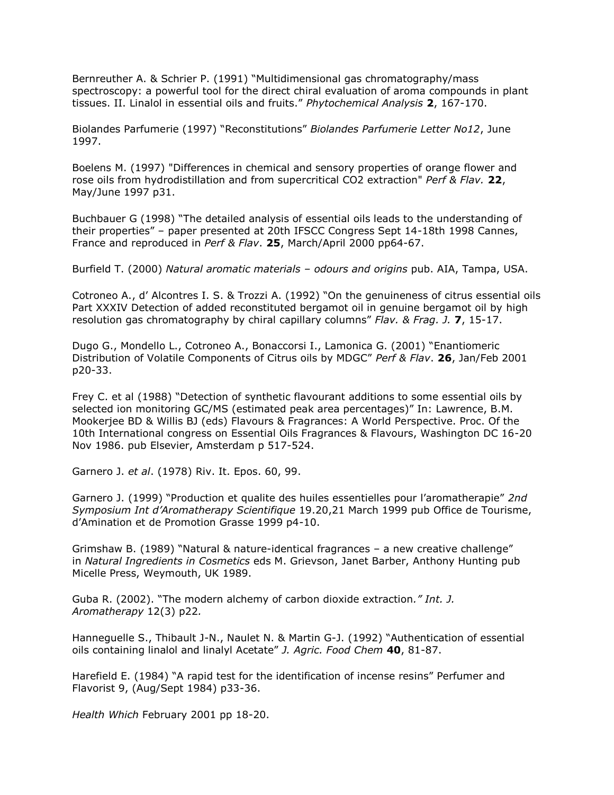Bernreuther A. & Schrier P. (1991) "Multidimensional gas chromatography/mass spectroscopy: a powerful tool for the direct chiral evaluation of aroma compounds in plant tissues. II. Linalol in essential oils and fruits." *Phytochemical Analysis* **2**, 167-170.

Biolandes Parfumerie (1997) "Reconstitutions" *Biolandes Parfumerie Letter No12*, June 1997.

Boelens M. (1997) "Differences in chemical and sensory properties of orange flower and rose oils from hydrodistillation and from supercritical CO2 extraction" *Perf & Flav.* **22**, May/June 1997 p31.

Buchbauer G (1998) "The detailed analysis of essential oils leads to the understanding of their properties" – paper presented at 20th IFSCC Congress Sept 14-18th 1998 Cannes, France and reproduced in *Perf & Flav*. **25**, March/April 2000 pp64-67.

Burfield T. (2000) *Natural aromatic materials – odours and origins* pub. AIA, Tampa, USA.

Cotroneo A., d' Alcontres I. S. & Trozzi A. (1992) "On the genuineness of citrus essential oils Part XXXIV Detection of added reconstituted bergamot oil in genuine bergamot oil by high resolution gas chromatography by chiral capillary columns" *Flav. & Frag. J.* **7**, 15-17.

Dugo G., Mondello L., Cotroneo A., Bonaccorsi I., Lamonica G. (2001) "Enantiomeric Distribution of Volatile Components of Citrus oils by MDGC" *Perf & Flav*. **26**, Jan/Feb 2001 p20-33.

Frey C. et al (1988) "Detection of synthetic flavourant additions to some essential oils by selected ion monitoring GC/MS (estimated peak area percentages)" In: Lawrence, B.M. Mookerjee BD & Willis BJ (eds) Flavours & Fragrances: A World Perspective. Proc. Of the 10th International congress on Essential Oils Fragrances & Flavours, Washington DC 16-20 Nov 1986. pub Elsevier, Amsterdam p 517-524.

Garnero J. *et al*. (1978) Riv. It. Epos. 60, 99.

Garnero J. (1999) "Production et qualite des huiles essentielles pour l'aromatherapie" *2nd Symposium Int d'Aromatherapy Scientifique* 19.20,21 March 1999 pub Office de Tourisme, d'Amination et de Promotion Grasse 1999 p4-10.

Grimshaw B. (1989) "Natural & nature-identical fragrances – a new creative challenge" in *Natural Ingredients in Cosmetics* eds M. Grievson, Janet Barber, Anthony Hunting pub Micelle Press, Weymouth, UK 1989.

Guba R. (2002). "The modern alchemy of carbon dioxide extraction*." Int. J. Aromatherapy* 12(3) p22*.*

Hanneguelle S., Thibault J-N., Naulet N. & Martin G-J. (1992) "Authentication of essential oils containing linalol and linalyl Acetate" *J. Agric. Food Chem* **40**, 81-87.

Harefield E. (1984) "A rapid test for the identification of incense resins" Perfumer and Flavorist 9, (Aug/Sept 1984) p33-36.

*Health Which* February 2001 pp 18-20.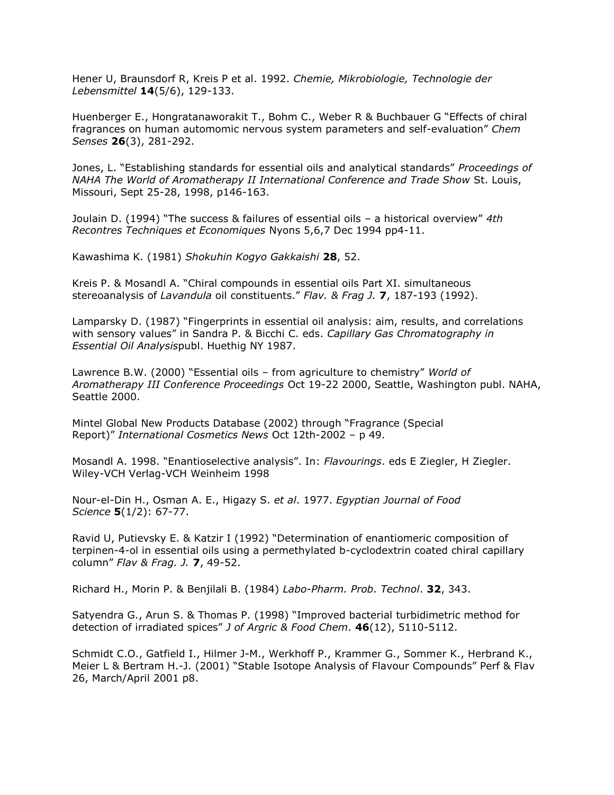Hener U, Braunsdorf R, Kreis P et al. 1992. *Chemie, Mikrobiologie, Technologie der Lebensmittel* **14**(5/6), 129-133.

Huenberger E., Hongratanaworakit T., Bohm C., Weber R & Buchbauer G "Effects of chiral fragrances on human automomic nervous system parameters and self-evaluation" *Chem Senses* **26**(3), 281-292.

Jones, L. "Establishing standards for essential oils and analytical standards" *Proceedings of NAHA The World of Aromatherapy II International Conference and Trade Show* St. Louis, Missouri, Sept 25-28, 1998, p146-163.

Joulain D. (1994) "The success & failures of essential oils – a historical overview" *4th Recontres Techniques et Economiques* Nyons 5,6,7 Dec 1994 pp4-11.

Kawashima K. (1981) *Shokuhin Kogyo Gakkaishi* **28**, 52.

Kreis P. & Mosandl A. "Chiral compounds in essential oils Part XI. simultaneous stereoanalysis of *Lavandula* oil constituents." *Flav. & Frag J.* **7**, 187-193 (1992).

Lamparsky D. (1987) "Fingerprints in essential oil analysis: aim, results, and correlations with sensory values" in Sandra P. & Bicchi C. eds. *Capillary Gas Chromatography in Essential Oil Analysis*publ. Huethig NY 1987.

Lawrence B.W. (2000) "Essential oils – from agriculture to chemistry" *World of Aromatherapy III Conference Proceedings* Oct 19-22 2000, Seattle, Washington publ. NAHA, Seattle 2000.

Mintel Global New Products Database (2002) through "Fragrance (Special Report)" *International Cosmetics News* Oct 12th-2002 – p 49.

Mosandl A. 1998. "Enantioselective analysis". In: *Flavourings*. eds E Ziegler, H Ziegler. Wiley-VCH Verlag-VCH Weinheim 1998

Nour-el-Din H., Osman A. E., Higazy S. *et al*. 1977. *Egyptian Journal of Food Science* **5**(1/2): 67-77.

Ravid U, Putievsky E. & Katzir I (1992) "Determination of enantiomeric composition of terpinen-4-ol in essential oils using a permethylated b-cyclodextrin coated chiral capillary column" *Flav & Frag. J.* **7**, 49-52.

Richard H., Morin P. & Benjilali B. (1984) *Labo-Pharm. Prob. Technol*. **32**, 343.

Satyendra G., Arun S. & Thomas P. (1998) "Improved bacterial turbidimetric method for detection of irradiated spices" *J of Argric & Food Chem*. **46**(12), 5110-5112.

Schmidt C.O., Gatfield I., Hilmer J-M., Werkhoff P., Krammer G., Sommer K., Herbrand K., Meier L & Bertram H.-J. (2001) "Stable Isotope Analysis of Flavour Compounds" Perf & Flav 26, March/April 2001 p8.